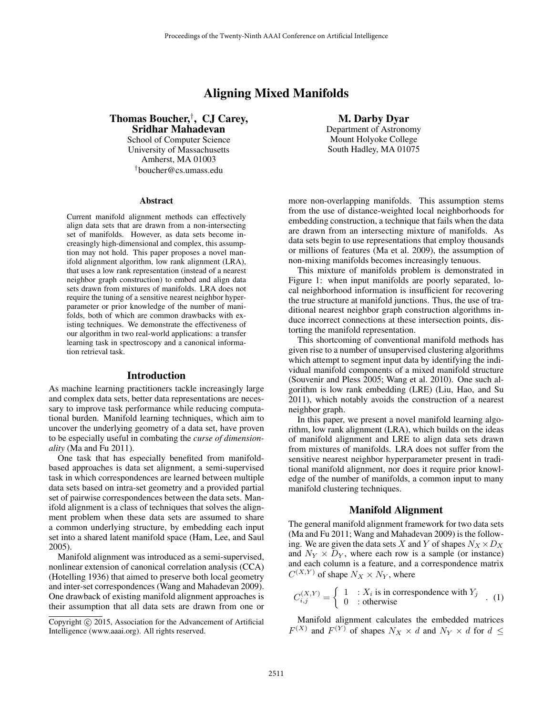# Aligning Mixed Manifolds

Thomas Boucher,† , CJ Carey, Sridhar Mahadevan

School of Computer Science University of Massachusetts Amherst, MA 01003 †boucher@cs.umass.edu

#### **Abstract**

Current manifold alignment methods can effectively align data sets that are drawn from a non-intersecting set of manifolds. However, as data sets become increasingly high-dimensional and complex, this assumption may not hold. This paper proposes a novel manifold alignment algorithm, low rank alignment (LRA), that uses a low rank representation (instead of a nearest neighbor graph construction) to embed and align data sets drawn from mixtures of manifolds. LRA does not require the tuning of a sensitive nearest neighbor hyperparameter or prior knowledge of the number of manifolds, both of which are common drawbacks with existing techniques. We demonstrate the effectiveness of our algorithm in two real-world applications: a transfer learning task in spectroscopy and a canonical information retrieval task.

#### Introduction

As machine learning practitioners tackle increasingly large and complex data sets, better data representations are necessary to improve task performance while reducing computational burden. Manifold learning techniques, which aim to uncover the underlying geometry of a data set, have proven to be especially useful in combating the *curse of dimensionality* (Ma and Fu 2011).

One task that has especially benefited from manifoldbased approaches is data set alignment, a semi-supervised task in which correspondences are learned between multiple data sets based on intra-set geometry and a provided partial set of pairwise correspondences between the data sets. Manifold alignment is a class of techniques that solves the alignment problem when these data sets are assumed to share a common underlying structure, by embedding each input set into a shared latent manifold space (Ham, Lee, and Saul 2005).

Manifold alignment was introduced as a semi-supervised, nonlinear extension of canonical correlation analysis (CCA) (Hotelling 1936) that aimed to preserve both local geometry and inter-set correspondences (Wang and Mahadevan 2009). One drawback of existing manifold alignment approaches is their assumption that all data sets are drawn from one or

M. Darby Dyar Department of Astronomy Mount Holyoke College South Hadley, MA 01075

more non-overlapping manifolds. This assumption stems from the use of distance-weighted local neighborhoods for embedding construction, a technique that fails when the data are drawn from an intersecting mixture of manifolds. As data sets begin to use representations that employ thousands or millions of features (Ma et al. 2009), the assumption of non-mixing manifolds becomes increasingly tenuous.

This mixture of manifolds problem is demonstrated in Figure 1: when input manifolds are poorly separated, local neighborhood information is insufficient for recovering the true structure at manifold junctions. Thus, the use of traditional nearest neighbor graph construction algorithms induce incorrect connections at these intersection points, distorting the manifold representation.

This shortcoming of conventional manifold methods has given rise to a number of unsupervised clustering algorithms which attempt to segment input data by identifying the individual manifold components of a mixed manifold structure (Souvenir and Pless 2005; Wang et al. 2010). One such algorithm is low rank embedding (LRE) (Liu, Hao, and Su 2011), which notably avoids the construction of a nearest neighbor graph.

In this paper, we present a novel manifold learning algorithm, low rank alignment (LRA), which builds on the ideas of manifold alignment and LRE to align data sets drawn from mixtures of manifolds. LRA does not suffer from the sensitive nearest neighbor hyperparameter present in traditional manifold alignment, nor does it require prior knowledge of the number of manifolds, a common input to many manifold clustering techniques.

#### Manifold Alignment

The general manifold alignment framework for two data sets (Ma and Fu 2011; Wang and Mahadevan 2009) is the following. We are given the data sets X and Y of shapes  $N_X \times D_X$ and  $N_Y \times D_Y$ , where each row is a sample (or instance) and each column is a feature, and a correspondence matrix  $C^{(X,Y)}$  of shape  $N_X \times N_Y$ , where

$$
C_{i,j}^{(X,Y)} = \begin{cases} 1 & \text{: } X_i \text{ is in correspondence with } Y_j \\ 0 & \text{: otherwise} \end{cases}
$$
 (1)

Manifold alignment calculates the embedded matrices  $F^{(X)}$  and  $F^{(Y)}$  of shapes  $N_X \times d$  and  $N_Y \times d$  for  $d \leq$ 

Copyright © 2015, Association for the Advancement of Artificial Intelligence (www.aaai.org). All rights reserved.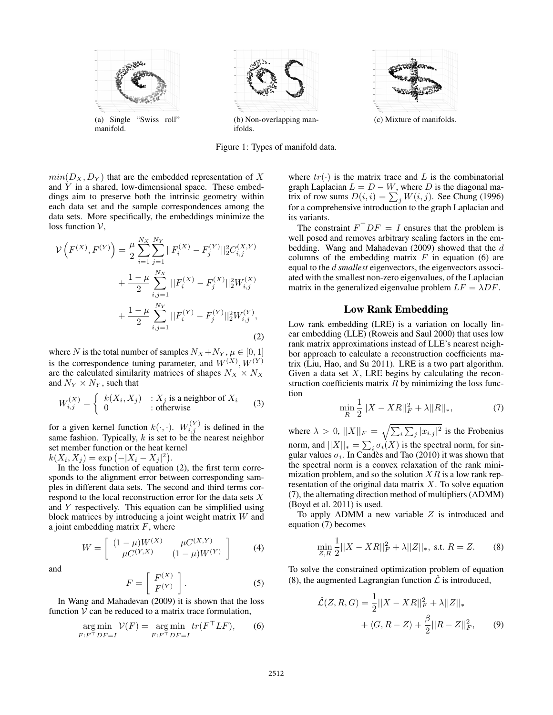

Figure 1: Types of manifold data.

 $min(D_X, D_Y)$  that are the embedded representation of X and Y in a shared, low-dimensional space. These embeddings aim to preserve both the intrinsic geometry within each data set and the sample correspondences among the data sets. More specifically, the embeddings minimize the loss function  $V$ ,

$$
\mathcal{V}\left(F^{(X)}, F^{(Y)}\right) = \frac{\mu}{2} \sum_{i=1}^{N_X} \sum_{j=1}^{N_Y} ||F_i^{(X)} - F_j^{(Y)}||_2^2 C_{i,j}^{(X,Y)} \n+ \frac{1-\mu}{2} \sum_{i,j=1}^{N_X} ||F_i^{(X)} - F_j^{(X)}||_2^2 W_{i,j}^{(X)} \n+ \frac{1-\mu}{2} \sum_{i,j=1}^{N_Y} ||F_i^{(Y)} - F_j^{(Y)}||_2^2 W_{i,j}^{(Y)},
$$
\n(2)

where N is the total number of samples  $N_X + N_Y$ ,  $\mu \in [0, 1]$ is the correspondence tuning parameter, and  $W^{(X)}, W^{(Y)}$ are the calculated similarity matrices of shapes  $N_X \times N_X$ and  $N_Y \times N_Y$ , such that

$$
W_{i,j}^{(X)} = \begin{cases} k(X_i, X_j) & \text{: } X_j \text{ is a neighbor of } X_i \\ 0 & \text{: otherwise} \end{cases}
$$
 (3)

for a given kernel function  $k(\cdot, \cdot)$ .  $W_{i,j}^{(Y)}$  is defined in the same fashion. Typically,  $k$  is set to be the nearest neighbor set member function or the heat kernel  $k(X_i, X_j) = \exp(-|X_i - X_j|^2).$ 

In the loss function of equation (2), the first term corresponds to the alignment error between corresponding samples in different data sets. The second and third terms correspond to the local reconstruction error for the data sets X and Y respectively. This equation can be simplified using block matrices by introducing a joint weight matrix W and a joint embedding matrix  $F$ , where

$$
W = \left[ \begin{array}{cc} (1 - \mu)W^{(X)} & \mu C^{(X,Y)} \\ \mu C^{(Y,X)} & (1 - \mu)W^{(Y)} \end{array} \right] \tag{4}
$$

and

$$
F = \left[ \begin{array}{c} F^{(X)} \\ F^{(Y)} \end{array} \right].
$$
 (5)

In Wang and Mahadevan (2009) it is shown that the loss function  $V$  can be reduced to a matrix trace formulation,

$$
\underset{F:F^{\top}DF=I}{\arg\min} \mathcal{V}(F) = \underset{F:F^{\top}DF=I}{\arg\min} tr(F^{\top}LF), \qquad (6)
$$

where  $tr(\cdot)$  is the matrix trace and L is the combinatorial graph Laplacian  $L = D - W$ , where D is the diagonal matrix of row sums  $D(i, i) = \sum_j W(i, j)$ . See Chung (1996) for a comprehensive introduction to the graph Laplacian and its variants.

The constraint  $F^{\top}DF = I$  ensures that the problem is well posed and removes arbitrary scaling factors in the embedding. Wang and Mahadevan (2009) showed that the d columns of the embedding matrix  $F$  in equation (6) are equal to the d *smallest* eigenvectors, the eigenvectors associated with the smallest non-zero eigenvalues, of the Laplacian matrix in the generalized eigenvalue problem  $LF = \lambda DF$ .

### Low Rank Embedding

Low rank embedding (LRE) is a variation on locally linear embedding (LLE) (Roweis and Saul 2000) that uses low rank matrix approximations instead of LLE's nearest neighbor approach to calculate a reconstruction coefficients matrix (Liu, Hao, and Su 2011). LRE is a two part algorithm. Given a data set  $X$ , LRE begins by calculating the reconstruction coefficients matrix  $R$  by minimizing the loss function

$$
\min_{R} \frac{1}{2} ||X - XR||_{F}^{2} + \lambda ||R||_{*},
$$
\n(7)

where  $\lambda > 0$ ,  $||X||_F = \sqrt{\sum_i \sum_j |x_{i,j}|^2}$  is the Frobenius norm, and  $||X||_* = \sum_i \sigma_i(X)$  is the spectral norm, for singular values  $\sigma_i$ . In Candès and Tao (2010) it was shown that the spectral norm is a convex relaxation of the rank minimization problem, and so the solution  $XR$  is a low rank representation of the original data matrix  $X$ . To solve equation (7), the alternating direction method of multipliers (ADMM) (Boyd et al. 2011) is used.

To apply ADMM a new variable  $Z$  is introduced and equation (7) becomes

$$
\min_{Z,R} \frac{1}{2} ||X - XR||_F^2 + \lambda ||Z||_*, \text{ s.t. } R = Z. \tag{8}
$$

To solve the constrained optimization problem of equation (8), the augmented Lagrangian function  $\mathcal L$  is introduced,

$$
\hat{\mathcal{L}}(Z, R, G) = \frac{1}{2} ||X - XR||_F^2 + \lambda ||Z||_* \n+ \langle G, R - Z \rangle + \frac{\beta}{2} ||R - Z||_F^2, \qquad (9)
$$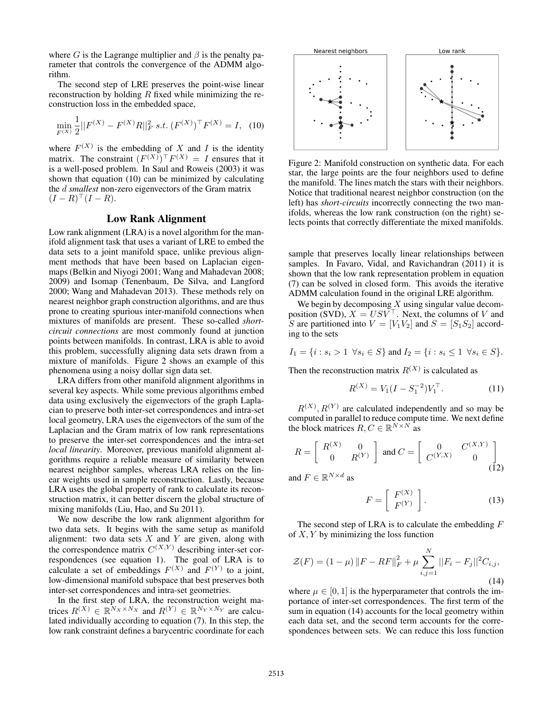where G is the Lagrange multiplier and  $\beta$  is the penalty parameter that controls the convergence of the ADMM algorithm.

The second step of LRE preserves the point-wise linear reconstruction by holding  $R$  fixed while minimizing the reconstruction loss in the embedded space,

$$
\min_{F^{(X)}} \frac{1}{2} ||F^{(X)} - F^{(X)}R||_F^2 \ s.t. \ (F^{(X)})^\top F^{(X)} = I, \tag{10}
$$

where  $F^{(X)}$  is the embedding of X and I is the identity matrix. The constraint  $(F^{(X)})^{\top}F^{(X)} = I$  ensures that it is a well-posed problem. In Saul and Roweis (2003) it was shown that equation (10) can be minimized by calculating the d *smallest* non-zero eigenvectors of the Gram matrix  $(I - R)^\top (I - R).$ 

# Low Rank Alignment

Low rank alignment (LRA) is a novel algorithm for the manifold alignment task that uses a variant of LRE to embed the data sets to a joint manifold space, unlike previous alignment methods that have been based on Laplacian eigenmaps (Belkin and Niyogi 2001; Wang and Mahadevan 2008; 2009) and Isomap (Tenenbaum, De Silva, and Langford 2000; Wang and Mahadevan 2013). These methods rely on nearest neighbor graph construction algorithms, and are thus prone to creating spurious inter-manifold connections when mixtures of manifolds are present. These so-called *shortcircuit connections* are most commonly found at junction points between manifolds. In contrast, LRA is able to avoid this problem, successfully aligning data sets drawn from a mixture of manifolds. Figure 2 shows an example of this phenomena using a noisy dollar sign data set.

LRA differs from other manifold alignment algorithms in several key aspects. While some previous algorithms embed data using exclusively the eigenvectors of the graph Laplacian to preserve both inter-set correspondences and intra-set local geometry, LRA uses the eigenvectors of the sum of the Laplacian and the Gram matrix of low rank representations to preserve the inter-set correspondences and the intra-set *local linearity*. Moreover, previous manifold alignment algorithms require a reliable measure of similarity between nearest neighbor samples, whereas LRA relies on the linear weights used in sample reconstruction. Lastly, because LRA uses the global property of rank to calculate its reconstruction matrix, it can better discern the global structure of mixing manifolds (Liu, Hao, and Su 2011).

We now describe the low rank alignment algorithm for two data sets. It begins with the same setup as manifold alignment: two data sets  $X$  and  $Y$  are given, along with the correspondence matrix  $C^{(X,Y)}$  describing inter-set correspondences (see equation 1). The goal of LRA is to calculate a set of embeddings  $F^{(X)}$  and  $F^{(Y)}$  to a joint, low-dimensional manifold subspace that best preserves both inter-set correspondences and intra-set geometries.

In the first step of LRA, the reconstruction weight matrices  $R^{(X)} \in \mathbb{R}^{N_X \times N_X}$  and  $R^{(Y)} \in \mathbb{R}^{N_Y \times N_Y}$  are calculated individually according to equation (7). In this step, the low rank constraint defines a barycentric coordinate for each



Figure 2: Manifold construction on synthetic data. For each star, the large points are the four neighbors used to define the manifold. The lines match the stars with their neighbors. Notice that traditional nearest neighbor construction (on the left) has *short-circuits* incorrectly connecting the two manifolds, whereas the low rank construction (on the right) selects points that correctly differentiate the mixed manifolds.

sample that preserves locally linear relationships between samples. In Favaro, Vidal, and Ravichandran (2011) it is shown that the low rank representation problem in equation (7) can be solved in closed form. This avoids the iterative ADMM calculation found in the original LRE algorithm.

We begin by decomposing  $X$  using singular value decomposition (SVD),  $X = USV^{\top}$ . Next, the columns of V and S are partitioned into  $V = [V_1V_2]$  and  $S = [S_1S_2]$  according to the sets

$$
I_1 = \{i : s_i > 1 \ \forall s_i \in S\} \text{ and } I_2 = \{i : s_i \le 1 \ \forall s_i \in S\}.
$$

Then the reconstruction matrix  $R^{(X)}$  is calculated as

$$
R^{(X)} = V_1(I - S_1^{-2})V_1^{\top}.
$$
 (11)

 $R^{(X)}$ ,  $R^{(Y)}$  are calculated independently and so may be computed in parallel to reduce compute time. We next define the block matrices  $R, C \in \mathbb{R}^{N \times N}$  as

$$
R = \begin{bmatrix} R^{(X)} & 0 \\ 0 & R^{(Y)} \end{bmatrix} \text{ and } C = \begin{bmatrix} 0 & C^{(X,Y)} \\ C^{(Y,X)} & 0 \end{bmatrix}
$$
(12)

and  $F \in \mathbb{R}^{N \times d}$  as

$$
F = \left[ \begin{array}{c} F^{(X)} \\ F^{(Y)} \end{array} \right]. \tag{13}
$$

The second step of LRA is to calculate the embedding  $F$ of  $X, Y$  by minimizing the loss function

$$
\mathcal{Z}(F) = (1 - \mu) \|F - RF\|_F^2 + \mu \sum_{i,j=1}^N ||F_i - F_j||^2 C_{i,j},
$$
\n(14)

where  $\mu \in [0, 1]$  is the hyperparameter that controls the importance of inter-set correspondences. The first term of the sum in equation (14) accounts for the local geometry within each data set, and the second term accounts for the correspondences between sets. We can reduce this loss function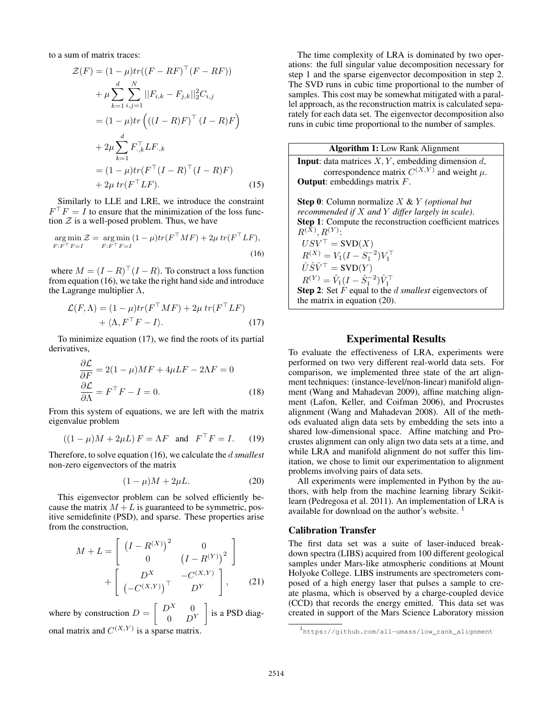to a sum of matrix traces:

$$
\mathcal{Z}(F) = (1 - \mu)tr((F - RF)^{\top}(F - RF)) \n+ \mu \sum_{k=1}^{d} \sum_{i,j=1}^{N} ||F_{i,k} - F_{j,k}||_{2}^{2}C_{i,j} \n= (1 - \mu)tr((I - R)F)^{\top}(I - R)F) \n+ 2\mu \sum_{k=1}^{d} F_{\cdot,k}^{\top} LF_{\cdot,k} \n= (1 - \mu)tr(F^{\top}(I - R)^{\top}(I - R)F) \n+ 2\mu tr(F^{\top}LF).
$$
\n(15)

Similarly to LLE and LRE, we introduce the constraint  $F^{\top}F = I$  to ensure that the minimization of the loss function  $\mathcal Z$  is a well-posed problem. Thus, we have

$$
\underset{F:F^\top F=I}{\arg\min} \mathcal{Z} = \underset{F:F^\top F=I}{\arg\min} (1-\mu) tr(F^\top M F) + 2\mu tr(F^\top L F),\tag{16}
$$

where  $M = (I - R)^{\top} (I - R)$ . To construct a loss function from equation (16), we take the right hand side and introduce the Lagrange multiplier  $\Lambda$ ,

$$
\mathcal{L}(F,\Lambda) = (1 - \mu)tr(F^{\top}MF) + 2\mu tr(F^{\top}LF) + \langle \Lambda, F^{\top}F - I \rangle.
$$
 (17)

To minimize equation (17), we find the roots of its partial derivatives,

$$
\frac{\partial \mathcal{L}}{\partial F} = 2(1 - \mu)MF + 4\mu LF - 2\Lambda F = 0
$$

$$
\frac{\partial \mathcal{L}}{\partial \Lambda} = F^{\top}F - I = 0.
$$
(18)

From this system of equations, we are left with the matrix eigenvalue problem

$$
((1 - \mu)M + 2\mu L) F = \Lambda F \text{ and } FT F = I. \quad (19)
$$

Therefore, to solve equation (16), we calculate the d *smallest* non-zero eigenvectors of the matrix

$$
(1 - \mu)M + 2\mu L. \tag{20}
$$

This eigenvector problem can be solved efficiently because the matrix  $M + L$  is guaranteed to be symmetric, positive semidefinite (PSD), and sparse. These properties arise from the construction,

$$
M + L = \begin{bmatrix} (I - R^{(X)})^2 & 0 \\ 0 & (I - R^{(Y)})^2 \end{bmatrix} + \begin{bmatrix} D^X & -C^{(X,Y)} \\ (-C^{(X,Y)})^T & D^Y \end{bmatrix}, \quad (21)
$$

where by construction  $D = \begin{bmatrix} D^X & 0 \\ 0 & D^Y \end{bmatrix}$  $0$   $D^Y$  is a PSD diagonal matrix and  $C^{(X,Y)}$  is a sparse matrix.

The time complexity of LRA is dominated by two operations: the full singular value decomposition necessary for step 1 and the sparse eigenvector decomposition in step 2. The SVD runs in cubic time proportional to the number of samples. This cost may be somewhat mitigated with a parallel approach, as the reconstruction matrix is calculated separately for each data set. The eigenvector decomposition also runs in cubic time proportional to the number of samples.

# Algorithm 1: Low Rank Alignment

**Input**: data matrices  $X, Y$ , embedding dimension  $d$ , correspondence matrix  $C^{(X,Y)}$  and weight  $\mu$ . Output: embeddings matrix F.

Step 0: Column normalize X & Y *(optional but recommended if* X *and* Y *differ largely in scale)*. Step 1: Compute the reconstruction coefficient matrices  $R^{(X)}, R^{(Y)}$ :  $USV^{\top} = \text{SVD}(X)$  $R^{(X)} = V_1(I - S_1^{-2})V_1^{\top}$  $\hat{U}\hat{S}\hat{V}^{\top} = \text{SVD}(Y)$  $R^{(Y)} = \hat{V}_1 (I - \hat{S}_1^{-2}) \hat{V}_1^{\top}$ Step 2: Set F equal to the d *smallest* eigenvectors of the matrix in equation (20).

### Experimental Results

To evaluate the effectiveness of LRA, experiments were performed on two very different real-world data sets. For comparison, we implemented three state of the art alignment techniques: (instance-level/non-linear) manifold alignment (Wang and Mahadevan 2009), affine matching alignment (Lafon, Keller, and Coifman 2006), and Procrustes alignment (Wang and Mahadevan 2008). All of the methods evaluated align data sets by embedding the sets into a shared low-dimensional space. Affine matching and Procrustes alignment can only align two data sets at a time, and while LRA and manifold alignment do not suffer this limitation, we chose to limit our experimentation to alignment problems involving pairs of data sets.

All experiments were implemented in Python by the authors, with help from the machine learning library Scikitlearn (Pedregosa et al. 2011). An implementation of LRA is available for download on the author's website.<sup>1</sup>

### Calibration Transfer

The first data set was a suite of laser-induced breakdown spectra (LIBS) acquired from 100 different geological samples under Mars-like atmospheric conditions at Mount Holyoke College. LIBS instruments are spectrometers composed of a high energy laser that pulses a sample to create plasma, which is observed by a charge-coupled device (CCD) that records the energy emitted. This data set was created in support of the Mars Science Laboratory mission

<sup>1</sup> https://github.com/all-umass/low\_rank\_alignment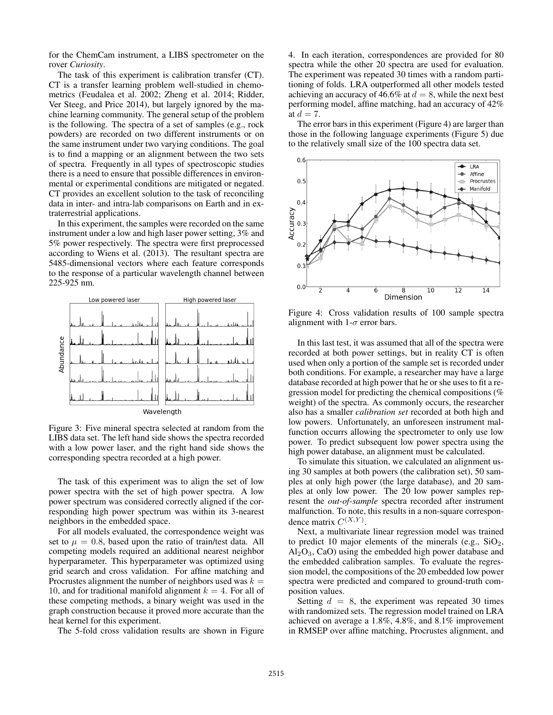for the ChemCam instrument, a LIBS spectrometer on the rover *Curiosity*.

The task of this experiment is calibration transfer (CT). CT is a transfer learning problem well-studied in chemometrics (Feudalea et al. 2002; Zheng et al. 2014; Ridder, Ver Steeg, and Price 2014), but largely ignored by the machine learning community. The general setup of the problem is the following. The spectra of a set of samples (e.g., rock powders) are recorded on two different instruments or on the same instrument under two varying conditions. The goal is to find a mapping or an alignment between the two sets of spectra. Frequently in all types of spectroscopic studies there is a need to ensure that possible differences in environmental or experimental conditions are mitigated or negated. CT provides an excellent solution to the task of reconciling data in inter- and intra-lab comparisons on Earth and in extraterrestrial applications.

In this experiment, the samples were recorded on the same instrument under a low and high laser power setting, 3% and 5% power respectively. The spectra were first preprocessed according to Wiens et al. (2013). The resultant spectra are 5485-dimensional vectors where each feature corresponds to the response of a particular wavelength channel between 225-925 nm.



Figure 3: Five mineral spectra selected at random from the LIBS data set. The left hand side shows the spectra recorded with a low power laser, and the right hand side shows the corresponding spectra recorded at a high power.

The task of this experiment was to align the set of low power spectra with the set of high power spectra. A low power spectrum was considered correctly aligned if the corresponding high power spectrum was within its 3-nearest neighbors in the embedded space.

For all models evaluated, the correspondence weight was set to  $\mu = 0.8$ , based upon the ratio of train/test data. All competing models required an additional nearest neighbor hyperparameter. This hyperparameter was optimized using grid search and cross validation. For affine matching and Procrustes alignment the number of neighbors used was  $k =$ 10, and for traditional manifold alignment  $k = 4$ . For all of these competing methods, a binary weight was used in the graph construction because it proved more accurate than the heat kernel for this experiment.

The 5-fold cross validation results are shown in Figure

4. In each iteration, correspondences are provided for 80 spectra while the other 20 spectra are used for evaluation. The experiment was repeated 30 times with a random partitioning of folds. LRA outperformed all other models tested achieving an accuracy of 46.6% at  $d = 8$ , while the next best performing model, affine matching, had an accuracy of 42% at  $d = 7$ .

The error bars in this experiment (Figure 4) are larger than those in the following language experiments (Figure 5) due to the relatively small size of the 100 spectra data set.



Figure 4: Cross validation results of 100 sample spectra alignment with  $1-\sigma$  error bars.

In this last test, it was assumed that all of the spectra were recorded at both power settings, but in reality CT is often used when only a portion of the sample set is recorded under both conditions. For example, a researcher may have a large database recorded at high power that he or she uses to fit a regression model for predicting the chemical compositions (% weight) of the spectra. As commonly occurs, the researcher also has a smaller *calibration set* recorded at both high and low powers. Unfortunately, an unforeseen instrument malfunction occurrs allowing the spectrometer to only use low power. To predict subsequent low power spectra using the high power database, an alignment must be calculated.

To simulate this situation, we calculated an alignment using 30 samples at both powers (the calibration set), 50 samples at only high power (the large database), and 20 samples at only low power. The 20 low power samples represent the *out-of-sample* spectra recorded after instrument malfunction. To note, this results in a non-square correspondence matrix  $C^{(X,Y)}$ .

Next, a multivariate linear regression model was trained to predict 10 major elements of the minerals (e.g.,  $SiO<sub>2</sub>$ ,  $Al_2O_3$ , CaO) using the embedded high power database and the embedded calibration samples. To evaluate the regression model, the compositions of the 20 embedded low power spectra were predicted and compared to ground-truth composition values.

Setting  $d = 8$ , the experiment was repeated 30 times with randomized sets. The regression model trained on LRA achieved on average a 1.8%, 4.8%, and 8.1% improvement in RMSEP over affine matching, Procrustes alignment, and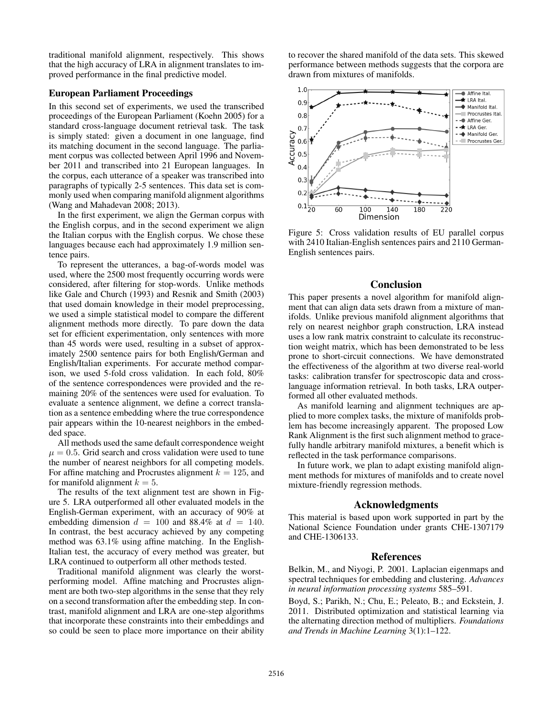traditional manifold alignment, respectively. This shows that the high accuracy of LRA in alignment translates to improved performance in the final predictive model.

# European Parliament Proceedings

In this second set of experiments, we used the transcribed proceedings of the European Parliament (Koehn 2005) for a standard cross-language document retrieval task. The task is simply stated: given a document in one language, find its matching document in the second language. The parliament corpus was collected between April 1996 and November 2011 and transcribed into 21 European languages. In the corpus, each utterance of a speaker was transcribed into paragraphs of typically 2-5 sentences. This data set is commonly used when comparing manifold alignment algorithms (Wang and Mahadevan 2008; 2013).

In the first experiment, we align the German corpus with the English corpus, and in the second experiment we align the Italian corpus with the English corpus. We chose these languages because each had approximately 1.9 million sentence pairs.

To represent the utterances, a bag-of-words model was used, where the 2500 most frequently occurring words were considered, after filtering for stop-words. Unlike methods like Gale and Church (1993) and Resnik and Smith (2003) that used domain knowledge in their model preprocessing, we used a simple statistical model to compare the different alignment methods more directly. To pare down the data set for efficient experimentation, only sentences with more than 45 words were used, resulting in a subset of approximately 2500 sentence pairs for both English/German and English/Italian experiments. For accurate method comparison, we used 5-fold cross validation. In each fold, 80% of the sentence correspondences were provided and the remaining 20% of the sentences were used for evaluation. To evaluate a sentence alignment, we define a correct translation as a sentence embedding where the true correspondence pair appears within the 10-nearest neighbors in the embedded space.

All methods used the same default correspondence weight  $\mu = 0.5$ . Grid search and cross validation were used to tune the number of nearest neighbors for all competing models. For affine matching and Procrustes alignment  $k = 125$ , and for manifold alignment  $k = 5$ .

The results of the text alignment test are shown in Figure 5. LRA outperformed all other evaluated models in the English-German experiment, with an accuracy of 90% at embedding dimension  $d = 100$  and 88.4% at  $d = 140$ . In contrast, the best accuracy achieved by any competing method was 63.1% using affine matching. In the English-Italian test, the accuracy of every method was greater, but LRA continued to outperform all other methods tested.

Traditional manifold alignment was clearly the worstperforming model. Affine matching and Procrustes alignment are both two-step algorithms in the sense that they rely on a second transformation after the embedding step. In contrast, manifold alignment and LRA are one-step algorithms that incorporate these constraints into their embeddings and so could be seen to place more importance on their ability

to recover the shared manifold of the data sets. This skewed performance between methods suggests that the corpora are drawn from mixtures of manifolds.



Figure 5: Cross validation results of EU parallel corpus with 2410 Italian-English sentences pairs and 2110 German-English sentences pairs.

### Conclusion

This paper presents a novel algorithm for manifold alignment that can align data sets drawn from a mixture of manifolds. Unlike previous manifold alignment algorithms that rely on nearest neighbor graph construction, LRA instead uses a low rank matrix constraint to calculate its reconstruction weight matrix, which has been demonstrated to be less prone to short-circuit connections. We have demonstrated the effectiveness of the algorithm at two diverse real-world tasks: calibration transfer for spectroscopic data and crosslanguage information retrieval. In both tasks, LRA outperformed all other evaluated methods.

As manifold learning and alignment techniques are applied to more complex tasks, the mixture of manifolds problem has become increasingly apparent. The proposed Low Rank Alignment is the first such alignment method to gracefully handle arbitrary manifold mixtures, a benefit which is reflected in the task performance comparisons.

In future work, we plan to adapt existing manifold alignment methods for mixtures of manifolds and to create novel mixture-friendly regression methods.

### Acknowledgments

This material is based upon work supported in part by the National Science Foundation under grants CHE-1307179 and CHE-1306133.

#### References

Belkin, M., and Niyogi, P. 2001. Laplacian eigenmaps and spectral techniques for embedding and clustering. *Advances in neural information processing systems* 585–591.

Boyd, S.; Parikh, N.; Chu, E.; Peleato, B.; and Eckstein, J. 2011. Distributed optimization and statistical learning via the alternating direction method of multipliers. *Foundations and Trends in Machine Learning* 3(1):1–122.